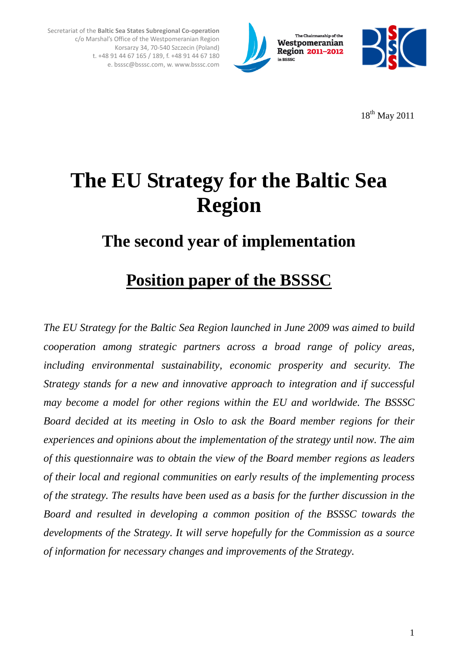



18th May 2011

# **The EU Strategy for the Baltic Sea Region**

Secretariat of the **Baltic Sea States Subregional Co-operation** 

c/o Marshal's Office of the Westpomeranian Region

Korsarzy 34, 70-540 Szczecin (Poland) t. +48 91 44 67 165 / 189, f. +48 91 44 67 180 e. bsssc@bsssc.com, w. www.bsssc.com

## **The second year of implementation**

## **Position paper of the BSSSC**

*The EU Strategy for the Baltic Sea Region launched in June 2009 was aimed to build cooperation among strategic partners across a broad range of policy areas, including environmental sustainability, economic prosperity and security. The Strategy stands for a new and innovative approach to integration and if successful may become a model for other regions within the EU and worldwide. The BSSSC Board decided at its meeting in Oslo to ask the Board member regions for their experiences and opinions about the implementation of the strategy until now. The aim of this questionnaire was to obtain the view of the Board member regions as leaders of their local and regional communities on early results of the implementing process of the strategy. The results have been used as a basis for the further discussion in the Board and resulted in developing a common position of the BSSSC towards the developments of the Strategy. It will serve hopefully for the Commission as a source of information for necessary changes and improvements of the Strategy.*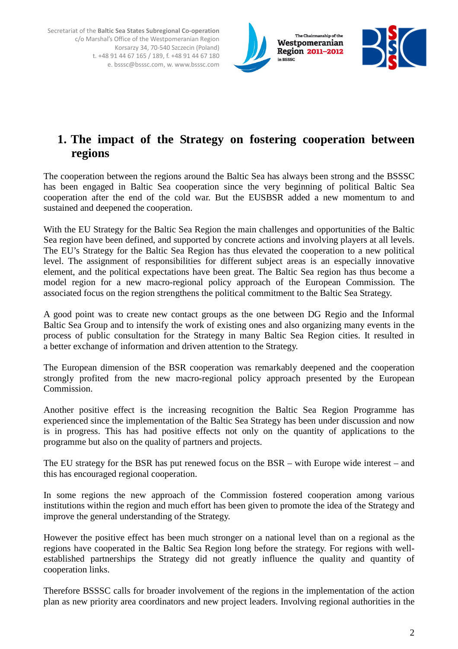

### **1. The impact of the Strategy on fostering cooperation between regions**

The cooperation between the regions around the Baltic Sea has always been strong and the BSSSC has been engaged in Baltic Sea cooperation since the very beginning of political Baltic Sea cooperation after the end of the cold war. But the EUSBSR added a new momentum to and sustained and deepened the cooperation.

With the EU Strategy for the Baltic Sea Region the main challenges and opportunities of the Baltic Sea region have been defined, and supported by concrete actions and involving players at all levels. The EU's Strategy for the Baltic Sea Region has thus elevated the cooperation to a new political level. The assignment of responsibilities for different subject areas is an especially innovative element, and the political expectations have been great. The Baltic Sea region has thus become a model region for a new macro-regional policy approach of the European Commission. The associated focus on the region strengthens the political commitment to the Baltic Sea Strategy.

A good point was to create new contact groups as the one between DG Regio and the Informal Baltic Sea Group and to intensify the work of existing ones and also organizing many events in the process of public consultation for the Strategy in many Baltic Sea Region cities. It resulted in a better exchange of information and driven attention to the Strategy.

The European dimension of the BSR cooperation was remarkably deepened and the cooperation strongly profited from the new macro-regional policy approach presented by the European Commission.

Another positive effect is the increasing recognition the Baltic Sea Region Programme has experienced since the implementation of the Baltic Sea Strategy has been under discussion and now is in progress. This has had positive effects not only on the quantity of applications to the programme but also on the quality of partners and projects.

The EU strategy for the BSR has put renewed focus on the BSR – with Europe wide interest – and this has encouraged regional cooperation.

In some regions the new approach of the Commission fostered cooperation among various institutions within the region and much effort has been given to promote the idea of the Strategy and improve the general understanding of the Strategy.

However the positive effect has been much stronger on a national level than on a regional as the regions have cooperated in the Baltic Sea Region long before the strategy. For regions with wellestablished partnerships the Strategy did not greatly influence the quality and quantity of cooperation links.

Therefore BSSSC calls for broader involvement of the regions in the implementation of the action plan as new priority area coordinators and new project leaders. Involving regional authorities in the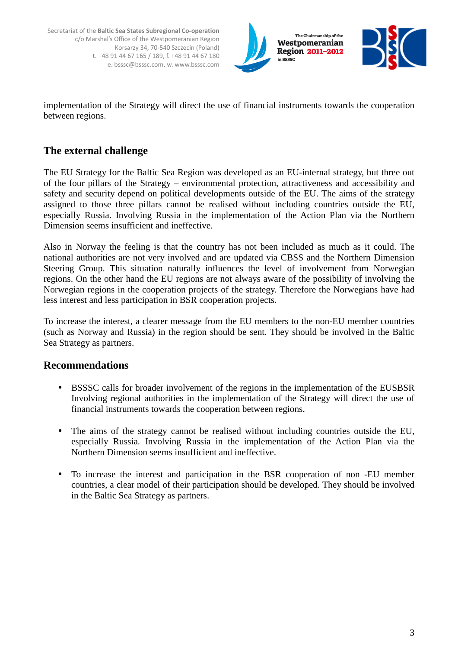



implementation of the Strategy will direct the use of financial instruments towards the cooperation between regions.

#### **The external challenge**

The EU Strategy for the Baltic Sea Region was developed as an EU-internal strategy, but three out of the four pillars of the Strategy – environmental protection, attractiveness and accessibility and safety and security depend on political developments outside of the EU. The aims of the strategy assigned to those three pillars cannot be realised without including countries outside the EU, especially Russia. Involving Russia in the implementation of the Action Plan via the Northern Dimension seems insufficient and ineffective.

Also in Norway the feeling is that the country has not been included as much as it could. The national authorities are not very involved and are updated via CBSS and the Northern Dimension Steering Group. This situation naturally influences the level of involvement from Norwegian regions. On the other hand the EU regions are not always aware of the possibility of involving the Norwegian regions in the cooperation projects of the strategy. Therefore the Norwegians have had less interest and less participation in BSR cooperation projects.

To increase the interest, a clearer message from the EU members to the non-EU member countries (such as Norway and Russia) in the region should be sent. They should be involved in the Baltic Sea Strategy as partners.

#### **Recommendations**

- BSSSC calls for broader involvement of the regions in the implementation of the EUSBSR Involving regional authorities in the implementation of the Strategy will direct the use of financial instruments towards the cooperation between regions.
- The aims of the strategy cannot be realised without including countries outside the EU, especially Russia. Involving Russia in the implementation of the Action Plan via the Northern Dimension seems insufficient and ineffective.
- To increase the interest and participation in the BSR cooperation of non -EU member countries, a clear model of their participation should be developed. They should be involved in the Baltic Sea Strategy as partners.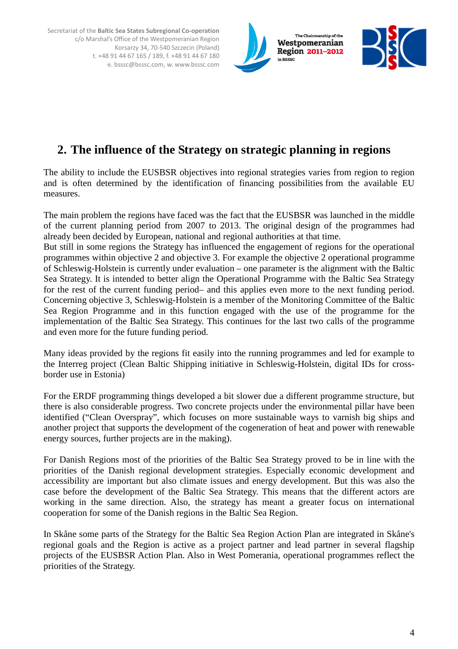



## **2. The influence of the Strategy on strategic planning in regions**

The ability to include the EUSBSR objectives into regional strategies varies from region to region and is often determined by the identification of financing possibilities from the available EU measures.

The main problem the regions have faced was the fact that the EUSBSR was launched in the middle of the current planning period from 2007 to 2013. The original design of the programmes had already been decided by European, national and regional authorities at that time.

But still in some regions the Strategy has influenced the engagement of regions for the operational programmes within objective 2 and objective 3. For example the objective 2 operational programme of Schleswig-Holstein is currently under evaluation – one parameter is the alignment with the Baltic Sea Strategy. It is intended to better align the Operational Programme with the Baltic Sea Strategy for the rest of the current funding period– and this applies even more to the next funding period. Concerning objective 3, Schleswig-Holstein is a member of the Monitoring Committee of the Baltic Sea Region Programme and in this function engaged with the use of the programme for the implementation of the Baltic Sea Strategy. This continues for the last two calls of the programme and even more for the future funding period.

Many ideas provided by the regions fit easily into the running programmes and led for example to the Interreg project (Clean Baltic Shipping initiative in Schleswig-Holstein, digital IDs for crossborder use in Estonia)

For the ERDF programming things developed a bit slower due a different programme structure, but there is also considerable progress. Two concrete projects under the environmental pillar have been identified ("Clean Overspray", which focuses on more sustainable ways to varnish big ships and another project that supports the development of the cogeneration of heat and power with renewable energy sources, further projects are in the making).

For Danish Regions most of the priorities of the Baltic Sea Strategy proved to be in line with the priorities of the Danish regional development strategies. Especially economic development and accessibility are important but also climate issues and energy development. But this was also the case before the development of the Baltic Sea Strategy. This means that the different actors are working in the same direction. Also, the strategy has meant a greater focus on international cooperation for some of the Danish regions in the Baltic Sea Region.

In Skåne some parts of the Strategy for the Baltic Sea Region Action Plan are integrated in Skåne's regional goals and the Region is active as a project partner and lead partner in several flagship projects of the EUSBSR Action Plan. Also in West Pomerania, operational programmes reflect the priorities of the Strategy.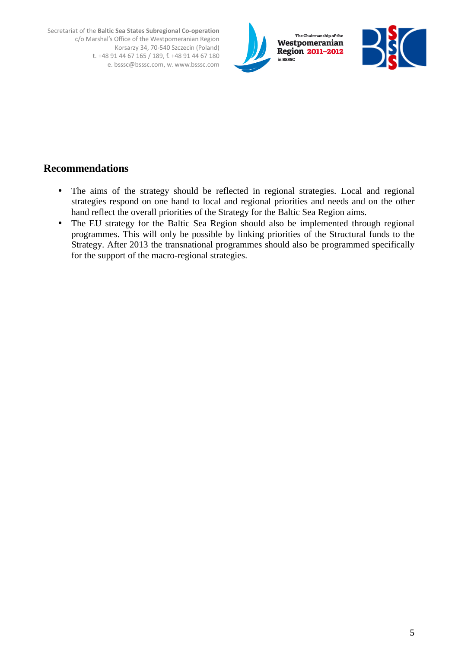



#### **Recommendations**

- The aims of the strategy should be reflected in regional strategies. Local and regional strategies respond on one hand to local and regional priorities and needs and on the other hand reflect the overall priorities of the Strategy for the Baltic Sea Region aims.
- The EU strategy for the Baltic Sea Region should also be implemented through regional programmes. This will only be possible by linking priorities of the Structural funds to the Strategy. After 2013 the transnational programmes should also be programmed specifically for the support of the macro-regional strategies.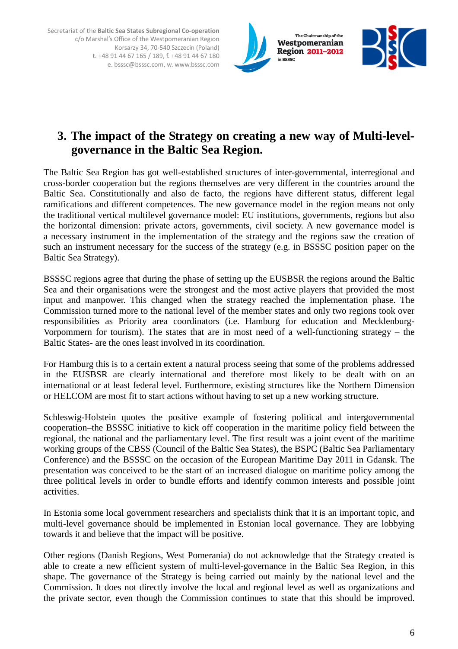



The Baltic Sea Region has got well-established structures of inter-governmental, interregional and cross-border cooperation but the regions themselves are very different in the countries around the Baltic Sea. Constitutionally and also de facto, the regions have different status, different legal ramifications and different competences. The new governance model in the region means not only the traditional vertical multilevel governance model: EU institutions, governments, regions but also the horizontal dimension: private actors, governments, civil society. A new governance model is a necessary instrument in the implementation of the strategy and the regions saw the creation of such an instrument necessary for the success of the strategy (e.g. in BSSSC position paper on the Baltic Sea Strategy).

BSSSC regions agree that during the phase of setting up the EUSBSR the regions around the Baltic Sea and their organisations were the strongest and the most active players that provided the most input and manpower. This changed when the strategy reached the implementation phase. The Commission turned more to the national level of the member states and only two regions took over responsibilities as Priority area coordinators (i.e. Hamburg for education and Mecklenburg-Vorpommern for tourism). The states that are in most need of a well-functioning strategy – the Baltic States- are the ones least involved in its coordination.

For Hamburg this is to a certain extent a natural process seeing that some of the problems addressed in the EUSBSR are clearly international and therefore most likely to be dealt with on an international or at least federal level. Furthermore, existing structures like the Northern Dimension or HELCOM are most fit to start actions without having to set up a new working structure.

Schleswig-Holstein quotes the positive example of fostering political and intergovernmental cooperation–the BSSSC initiative to kick off cooperation in the maritime policy field between the regional, the national and the parliamentary level. The first result was a joint event of the maritime working groups of the CBSS (Council of the Baltic Sea States), the BSPC (Baltic Sea Parliamentary Conference) and the BSSSC on the occasion of the European Maritime Day 2011 in Gdansk. The presentation was conceived to be the start of an increased dialogue on maritime policy among the three political levels in order to bundle efforts and identify common interests and possible joint activities.

In Estonia some local government researchers and specialists think that it is an important topic, and multi-level governance should be implemented in Estonian local governance. They are lobbying towards it and believe that the impact will be positive.

Other regions (Danish Regions, West Pomerania) do not acknowledge that the Strategy created is able to create a new efficient system of multi-level-governance in the Baltic Sea Region, in this shape. The governance of the Strategy is being carried out mainly by the national level and the Commission. It does not directly involve the local and regional level as well as organizations and the private sector, even though the Commission continues to state that this should be improved.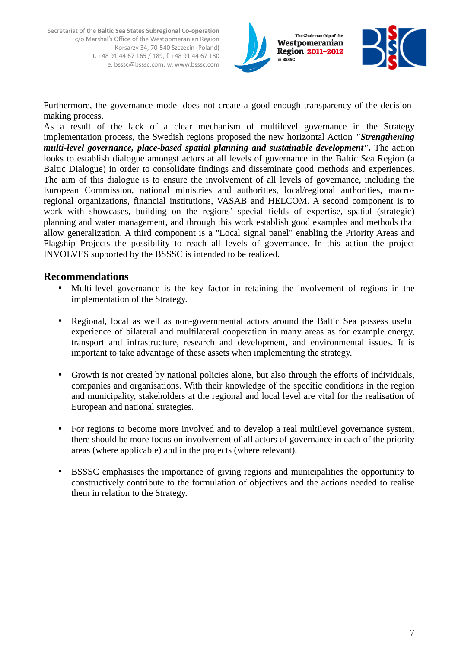



Furthermore, the governance model does not create a good enough transparency of the decisionmaking process.

As a result of the lack of a clear mechanism of multilevel governance in the Strategy implementation process, the Swedish regions proposed the new horizontal Action *"Strengthening multi-level governance, place-based spatial planning and sustainable development".* The action looks to establish dialogue amongst actors at all levels of governance in the Baltic Sea Region (a Baltic Dialogue) in order to consolidate findings and disseminate good methods and experiences. The aim of this dialogue is to ensure the involvement of all levels of governance, including the European Commission, national ministries and authorities, local/regional authorities, macroregional organizations, financial institutions, VASAB and HELCOM. A second component is to work with showcases, building on the regions' special fields of expertise, spatial (strategic) planning and water management, and through this work establish good examples and methods that allow generalization. A third component is a "Local signal panel" enabling the Priority Areas and Flagship Projects the possibility to reach all levels of governance. In this action the project INVOLVES supported by the BSSSC is intended to be realized.

#### **Recommendations**

- Multi-level governance is the key factor in retaining the involvement of regions in the implementation of the Strategy.
- Regional, local as well as non-governmental actors around the Baltic Sea possess useful experience of bilateral and multilateral cooperation in many areas as for example energy, transport and infrastructure, research and development, and environmental issues. It is important to take advantage of these assets when implementing the strategy.
- Growth is not created by national policies alone, but also through the efforts of individuals, companies and organisations. With their knowledge of the specific conditions in the region and municipality, stakeholders at the regional and local level are vital for the realisation of European and national strategies.
- For regions to become more involved and to develop a real multilevel governance system, there should be more focus on involvement of all actors of governance in each of the priority areas (where applicable) and in the projects (where relevant).
- BSSSC emphasises the importance of giving regions and municipalities the opportunity to constructively contribute to the formulation of objectives and the actions needed to realise them in relation to the Strategy.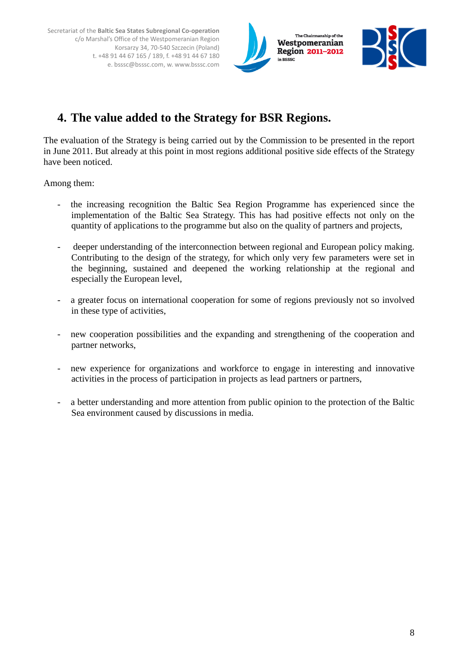



## **4. The value added to the Strategy for BSR Regions.**

The evaluation of the Strategy is being carried out by the Commission to be presented in the report in June 2011. But already at this point in most regions additional positive side effects of the Strategy have been noticed.

Among them:

- the increasing recognition the Baltic Sea Region Programme has experienced since the implementation of the Baltic Sea Strategy. This has had positive effects not only on the quantity of applications to the programme but also on the quality of partners and projects,
- deeper understanding of the interconnection between regional and European policy making. Contributing to the design of the strategy, for which only very few parameters were set in the beginning, sustained and deepened the working relationship at the regional and especially the European level,
- a greater focus on international cooperation for some of regions previously not so involved in these type of activities,
- new cooperation possibilities and the expanding and strengthening of the cooperation and partner networks,
- new experience for organizations and workforce to engage in interesting and innovative activities in the process of participation in projects as lead partners or partners,
- a better understanding and more attention from public opinion to the protection of the Baltic Sea environment caused by discussions in media.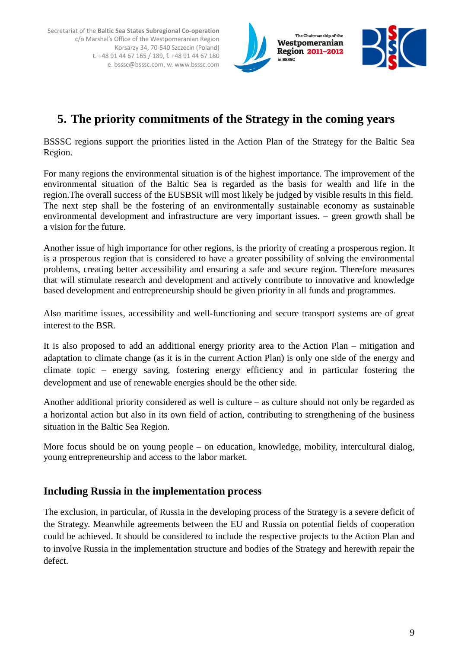



### **5. The priority commitments of the Strategy in the coming years**

BSSSC regions support the priorities listed in the Action Plan of the Strategy for the Baltic Sea Region.

For many regions the environmental situation is of the highest importance. The improvement of the environmental situation of the Baltic Sea is regarded as the basis for wealth and life in the region.The overall success of the EUSBSR will most likely be judged by visible results in this field. The next step shall be the fostering of an environmentally sustainable economy as sustainable environmental development and infrastructure are very important issues. – green growth shall be a vision for the future.

Another issue of high importance for other regions, is the priority of creating a prosperous region. It is a prosperous region that is considered to have a greater possibility of solving the environmental problems, creating better accessibility and ensuring a safe and secure region. Therefore measures that will stimulate research and development and actively contribute to innovative and knowledge based development and entrepreneurship should be given priority in all funds and programmes.

Also maritime issues, accessibility and well-functioning and secure transport systems are of great interest to the BSR.

It is also proposed to add an additional energy priority area to the Action Plan – mitigation and adaptation to climate change (as it is in the current Action Plan) is only one side of the energy and climate topic – energy saving, fostering energy efficiency and in particular fostering the development and use of renewable energies should be the other side.

Another additional priority considered as well is culture – as culture should not only be regarded as a horizontal action but also in its own field of action, contributing to strengthening of the business situation in the Baltic Sea Region.

More focus should be on young people – on education, knowledge, mobility, intercultural dialog, young entrepreneurship and access to the labor market.

#### **Including Russia in the implementation process**

The exclusion, in particular, of Russia in the developing process of the Strategy is a severe deficit of the Strategy. Meanwhile agreements between the EU and Russia on potential fields of cooperation could be achieved. It should be considered to include the respective projects to the Action Plan and to involve Russia in the implementation structure and bodies of the Strategy and herewith repair the defect.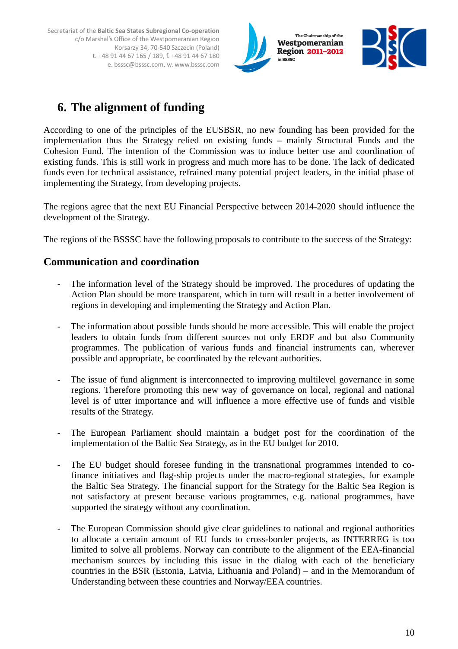



## **6. The alignment of funding**

According to one of the principles of the EUSBSR, no new founding has been provided for the implementation thus the Strategy relied on existing funds – mainly Structural Funds and the Cohesion Fund. The intention of the Commission was to induce better use and coordination of existing funds. This is still work in progress and much more has to be done. The lack of dedicated funds even for technical assistance, refrained many potential project leaders, in the initial phase of implementing the Strategy, from developing projects.

The regions agree that the next EU Financial Perspective between 2014-2020 should influence the development of the Strategy.

The regions of the BSSSC have the following proposals to contribute to the success of the Strategy:

#### **Communication and coordination**

- The information level of the Strategy should be improved. The procedures of updating the Action Plan should be more transparent, which in turn will result in a better involvement of regions in developing and implementing the Strategy and Action Plan.
- The information about possible funds should be more accessible. This will enable the project leaders to obtain funds from different sources not only ERDF and but also Community programmes. The publication of various funds and financial instruments can, wherever possible and appropriate, be coordinated by the relevant authorities.
- The issue of fund alignment is interconnected to improving multilevel governance in some regions. Therefore promoting this new way of governance on local, regional and national level is of utter importance and will influence a more effective use of funds and visible results of the Strategy.
- The European Parliament should maintain a budget post for the coordination of the implementation of the Baltic Sea Strategy, as in the EU budget for 2010.
- The EU budget should foresee funding in the transnational programmes intended to cofinance initiatives and flag-ship projects under the macro-regional strategies, for example the Baltic Sea Strategy. The financial support for the Strategy for the Baltic Sea Region is not satisfactory at present because various programmes, e.g. national programmes, have supported the strategy without any coordination.
- The European Commission should give clear guidelines to national and regional authorities to allocate a certain amount of EU funds to cross-border projects, as INTERREG is too limited to solve all problems. Norway can contribute to the alignment of the EEA-financial mechanism sources by including this issue in the dialog with each of the beneficiary countries in the BSR (Estonia, Latvia, Lithuania and Poland) – and in the Memorandum of Understanding between these countries and Norway/EEA countries.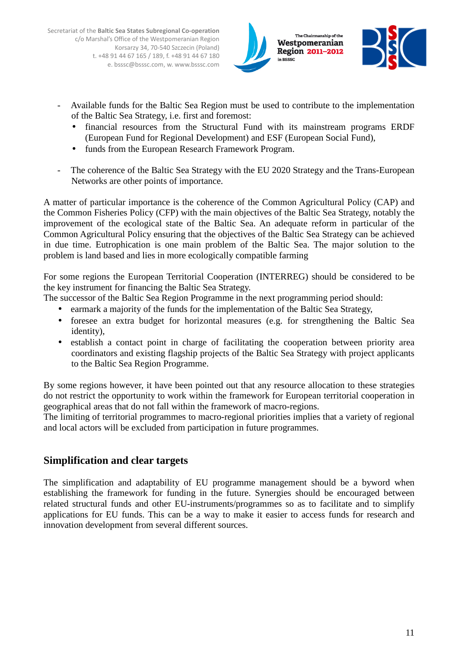



- Available funds for the Baltic Sea Region must be used to contribute to the implementation of the Baltic Sea Strategy, i.e. first and foremost:
	- financial resources from the Structural Fund with its mainstream programs ERDF (European Fund for Regional Development) and ESF (European Social Fund),
	- funds from the European Research Framework Program.
- The coherence of the Baltic Sea Strategy with the EU 2020 Strategy and the Trans-European Networks are other points of importance.

A matter of particular importance is the coherence of the Common Agricultural Policy (CAP) and the Common Fisheries Policy (CFP) with the main objectives of the Baltic Sea Strategy, notably the improvement of the ecological state of the Baltic Sea. An adequate reform in particular of the Common Agricultural Policy ensuring that the objectives of the Baltic Sea Strategy can be achieved in due time. Eutrophication is one main problem of the Baltic Sea. The major solution to the problem is land based and lies in more ecologically compatible farming

For some regions the European Territorial Cooperation (INTERREG) should be considered to be the key instrument for financing the Baltic Sea Strategy.

The successor of the Baltic Sea Region Programme in the next programming period should:

- earmark a majority of the funds for the implementation of the Baltic Sea Strategy,
- foresee an extra budget for horizontal measures (e.g. for strengthening the Baltic Sea identity),
- establish a contact point in charge of facilitating the cooperation between priority area coordinators and existing flagship projects of the Baltic Sea Strategy with project applicants to the Baltic Sea Region Programme.

By some regions however, it have been pointed out that any resource allocation to these strategies do not restrict the opportunity to work within the framework for European territorial cooperation in geographical areas that do not fall within the framework of macro-regions.

The limiting of territorial programmes to macro-regional priorities implies that a variety of regional and local actors will be excluded from participation in future programmes.

#### **Simplification and clear targets**

The simplification and adaptability of EU programme management should be a byword when establishing the framework for funding in the future. Synergies should be encouraged between related structural funds and other EU-instruments/programmes so as to facilitate and to simplify applications for EU funds. This can be a way to make it easier to access funds for research and innovation development from several different sources.